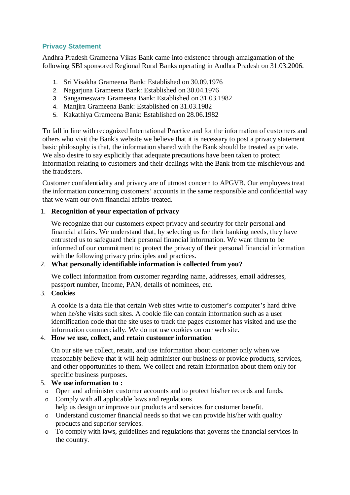### **Privacy Statement**

Andhra Pradesh Grameena Vikas Bank came into existence through amalgamation of the following SBI sponsored Regional Rural Banks operating in Andhra Pradesh on 31.03.2006.

- 1. Sri Visakha Grameena Bank: Established on 30.09.1976
- 2. Nagarjuna Grameena Bank: Established on 30.04.1976
- 3. Sangameswara Grameena Bank: Established on 31.03.1982
- 4. Manjira Grameena Bank: Established on 31.03.1982
- 5. Kakathiya Grameena Bank: Established on 28.06.1982

To fall in line with recognized International Practice and for the information of customers and others who visit the Bank's website we believe that it is necessary to post a privacy statement basic philosophy is that, the information shared with the Bank should be treated as private. We also desire to say explicitly that adequate precautions have been taken to protect information relating to customers and their dealings with the Bank from the mischievous and the fraudsters.

Customer confidentiality and privacy are of utmost concern to APGVB. Our employees treat the information concerning customers' accounts in the same responsible and confidential way that we want our own financial affairs treated.

#### 1. **Recognition of your expectation of privacy**

We recognize that our customers expect privacy and security for their personal and financial affairs. We understand that, by selecting us for their banking needs, they have entrusted us to safeguard their personal financial information. We want them to be informed of our commitment to protect the privacy of their personal financial information with the following privacy principles and practices.

### 2. **What personally identifiable information is collected from you?**

We collect information from customer regarding name, addresses, email addresses, passport number, Income, PAN, details of nominees, etc.

# 3. **Cookies**

A cookie is a data file that certain Web sites write to customer's computer's hard drive when he/she visits such sites. A cookie file can contain information such as a user identification code that the site uses to track the pages customer has visited and use the information commercially. We do not use cookies on our web site.

#### 4. **How we use, collect, and retain customer information**

On our site we collect, retain, and use information about customer only when we reasonably believe that it will help administer our business or provide products, services, and other opportunities to them. We collect and retain information about them only for specific business purposes.

### 5. **We use information to :**

- o Open and administer customer accounts and to protect his/her records and funds.
- o Comply with all applicable laws and regulations help us design or improve our products and services for customer benefit.
- o Understand customer financial needs so that we can provide his/her with quality products and superior services.
- o To comply with laws, guidelines and regulations that governs the financial services in the country.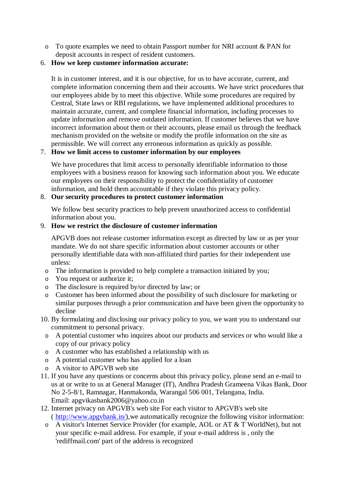- o To quote examples we need to obtain Passport number for NRI account & PAN for deposit accounts in respect of resident customers.
- 6. **How we keep customer information accurate:**

It is in customer interest, and it is our objective, for us to have accurate, current, and complete information concerning them and their accounts. We have strict procedures that our employees abide by to meet this objective. While some procedures are required by Central, State laws or RBI regulations, we have implemented additional procedures to maintain accurate, current, and complete financial information, including processes to update information and remove outdated information. If customer believes that we have incorrect information about them or their accounts, please email us through the feedback mechanism provided on the website or modify the profile information on the site as permissible. We will correct any erroneous information as quickly as possible.

### 7. **How we limit access to customer information by our employees**

We have procedures that limit access to personally identifiable information to those employees with a business reason for knowing such information about you. We educate our employees on their responsibility to protect the confidentiality of customer information, and hold them accountable if they violate this privacy policy.

### 8. **Our security procedures to protect customer information**

We follow best security practices to help prevent unauthorized access to confidential information about you.

### 9. **How we restrict the disclosure of customer information**

APGVB does not release customer information except as directed by law or as per your mandate. We do not share specific information about customer accounts or other personally identifiable data with non-affiliated third parties for their independent use unless:

- o The information is provided to help complete a transaction initiated by you;
- o You request or authorize it;
- o The disclosure is required by/or directed by law; or
- o Customer has been informed about the possibility of such disclosure for marketing or similar purposes through a prior communication and have been given the opportunity to decline
- 10. By formulating and disclosing our privacy policy to you, we want you to understand our commitment to personal privacy.
	- o A potential customer who inquires about our products and services or who would like a copy of our privacy policy
	- o A customer who has established a relationship with us
	- o A potential customer who has applied for a loan
- o A visitor to APGVB web site
- 11. If you have any questions or concerns about this privacy policy, please send an e-mail to us at or write to us at General Manager (IT), Andhra Pradesh Grameena Vikas Bank, Door No 2-5-8/1, Ramnagar, Hanmakonda, Warangal 506 001, Telangana, India. Email: [apgvikasbank2006@yahoo.co.in](mailto:apgvikasbank2006@yahoo.co.in)
- 12. Internet privacy on APGVB's web site For each visitor to APGVB's web site ( [http://www.apgvbank.in/\),we](http://www.apgvbank.in/),we) automatically recognize the following visitor information:
	- o A visitor's Internet Service Provider (for example, AOL or AT & T WorldNet), but not your specific e-mail address. For example, if your e-mail address is , only the 'rediffmail.com' part of the address is recognized